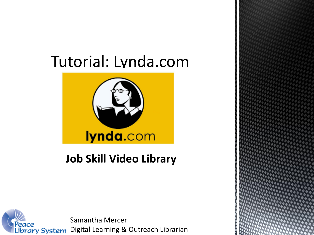# Tutorial: Lynda.com



## **Job Skill Video Library**



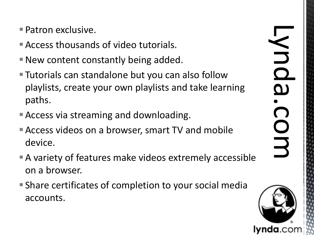- **Patron exclusive.**
- Access thousands of video tutorials.
- New content constantly being added.
- Tutorials can standalone but you can also follow playlists, create your own playlists and take learning paths.
- Access via streaming and downloading.
- Access videos on a browser, smart TV and mobile device.
- A variety of features make videos extremely accessible on a browser.
- Share certificates of completion to your social media accounts.

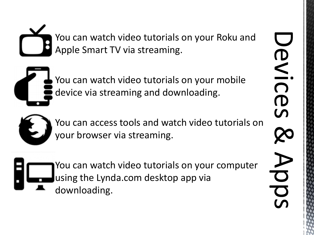You can watch video tutorials on your Roku and Apple Smart TV via streaming.

 You can watch video tutorials on your mobile device via streaming and downloading.



 You can access tools and watch video tutorials on your browser via streaming.

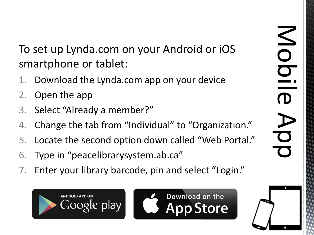To set up Lynda.com on your Android or iOS smartphone or tablet:

- 1. Download the Lynda.com app on your device
- 2. Open the app
- 3. Select "Already a member?"
- 4. Change the tab from "Individual" to "Organization."
- 5. Locate the second option down called "Web Portal."
- 6. Type in "peacelibrarysystem.ab.ca"
- 7. Enter your library barcode, pin and select "Login."





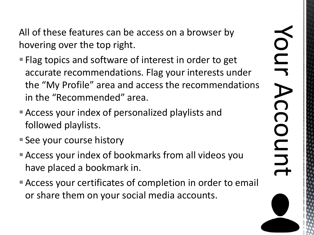All of these features can be access on a browser by hovering over the top right.

- **Flag topics and software of interest in order to get** accurate recommendations. Flag your interests under the "My Profile" area and access the recommendations in the "Recommended" area.
- Access your index of personalized playlists and followed playlists.
- **See your course history**
- Access your index of bookmarks from all videos you have placed a bookmark in.
- Access your certificates of completion in order to email or share them on your social media accounts.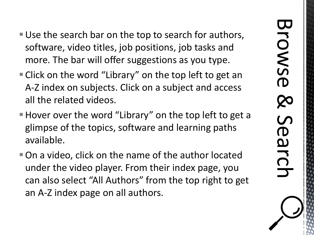- Use the search bar on the top to search for authors, software, video titles, job positions, job tasks and more. The bar will offer suggestions as you type.
- Click on the word "Library" on the top left to get an A-Z index on subjects. Click on a subject and access all the related videos.
- Hover over the word "Library" on the top left to get a glimpse of the topics, software and learning paths available.
- On a video, click on the name of the author located under the video player. From their index page, you can also select "All Authors" from the top right to get an A-Z index page on all authors.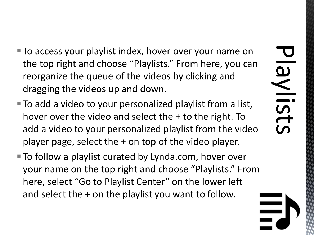- To access your playlist index, hover over your name on the top right and choose "Playlists." From here, you can reorganize the queue of the videos by clicking and dragging the videos up and down.
- To add a video to your personalized playlist from a list, hover over the video and select the  $+$  to the right. To add a video to your personalized playlist from the video player page, select the + on top of the video player.
- To follow a playlist curated by Lynda.com, hover over your name on the top right and choose "Playlists." From here, select "Go to Playlist Center" on the lower left and select the + on the playlist you want to follow.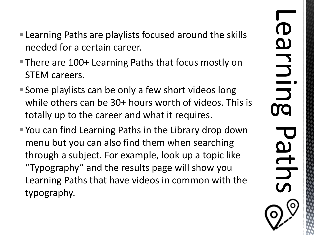- Learning Paths are playlists focused around the skills needed for a certain career.
- There are 100+ Learning Paths that focus mostly on STEM careers.
- Some playlists can be only a few short videos long while others can be 30+ hours worth of videos. This is totally up to the career and what it requires.
- You can find Learning Paths in the Library drop down menu but you can also find them when searching through a subject. For example, look up a topic like "Typography" and the results page will show you Learning Paths that have videos in common with the typography.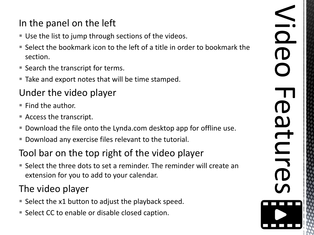## In the panel on the left

- Use the list to jump through sections of the videos.
- Select the bookmark icon to the left of a title in order to bookmark the section.
- Search the transcript for terms.
- Take and export notes that will be time stamped.

## Under the video player

- $\blacksquare$  Find the author.
- Access the transcript.
- Download the file onto the Lynda.com desktop app for offline use.
- Download any exercise files relevant to the tutorial.

#### Tool bar on the top right of the video player

■ Select the three dots to set a reminder. The reminder will create an extension for you to add to your calendar.

## The video player

- Select the x1 button to adjust the playback speed.
- Select CC to enable or disable closed caption.